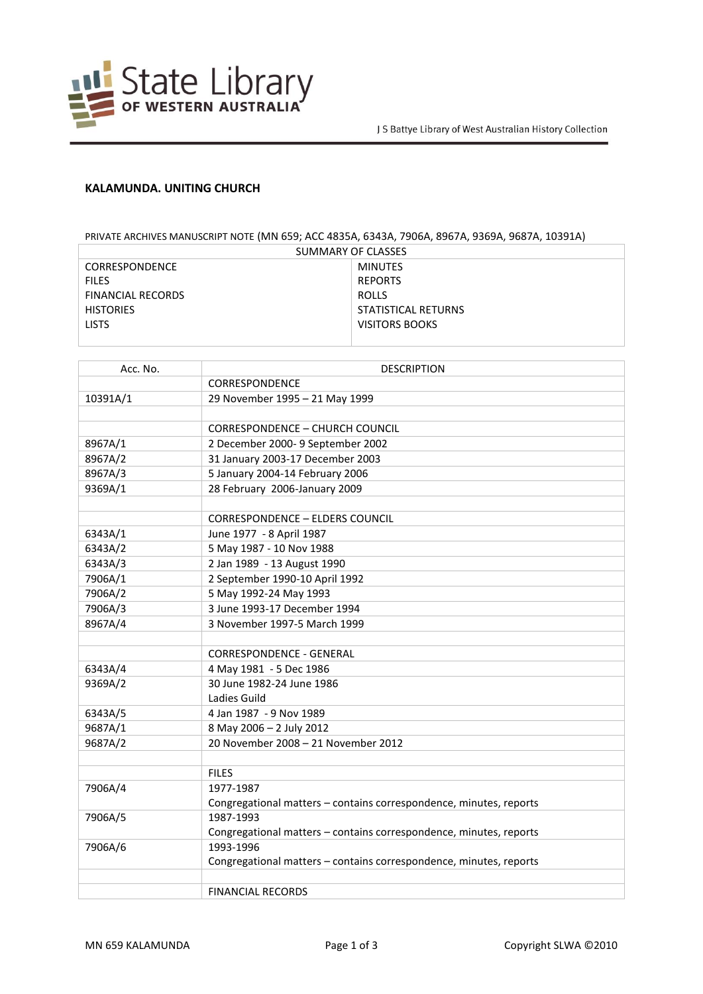

## **KALAMUNDA. UNITING CHURCH**

## PRIVATE ARCHIVES MANUSCRIPT NOTE (MN 659; ACC 4835A, 6343A, 7906A, 8967A, 9369A, 9687A, 10391A)

| SUMMARY OF CLASSES    |                     |  |
|-----------------------|---------------------|--|
| <b>CORRESPONDENCE</b> | MINUTES             |  |
| <b>FILES</b>          | <b>REPORTS</b>      |  |
| FINANCIAL RECORDS     | ROLLS               |  |
| <b>HISTORIES</b>      | STATISTICAL RETURNS |  |
| LISTS.                | VISITORS BOOKS      |  |
|                       |                     |  |

| Acc. No. | <b>DESCRIPTION</b>                                                 |
|----------|--------------------------------------------------------------------|
|          | <b>CORRESPONDENCE</b>                                              |
| 10391A/1 | 29 November 1995 - 21 May 1999                                     |
|          |                                                                    |
|          | <b>CORRESPONDENCE - CHURCH COUNCIL</b>                             |
| 8967A/1  | 2 December 2000- 9 September 2002                                  |
| 8967A/2  | 31 January 2003-17 December 2003                                   |
| 8967A/3  | 5 January 2004-14 February 2006                                    |
| 9369A/1  | 28 February 2006-January 2009                                      |
|          |                                                                    |
|          | <b>CORRESPONDENCE - ELDERS COUNCIL</b>                             |
| 6343A/1  | June 1977 - 8 April 1987                                           |
| 6343A/2  | 5 May 1987 - 10 Nov 1988                                           |
| 6343A/3  | 2 Jan 1989 - 13 August 1990                                        |
| 7906A/1  | 2 September 1990-10 April 1992                                     |
| 7906A/2  | 5 May 1992-24 May 1993                                             |
| 7906A/3  | 3 June 1993-17 December 1994                                       |
| 8967A/4  | 3 November 1997-5 March 1999                                       |
|          |                                                                    |
|          | <b>CORRESPONDENCE - GENERAL</b>                                    |
| 6343A/4  | 4 May 1981 - 5 Dec 1986                                            |
| 9369A/2  | 30 June 1982-24 June 1986                                          |
|          | Ladies Guild                                                       |
| 6343A/5  | 4 Jan 1987 - 9 Nov 1989                                            |
| 9687A/1  | 8 May 2006 - 2 July 2012                                           |
| 9687A/2  | 20 November 2008 - 21 November 2012                                |
|          |                                                                    |
|          | <b>FILES</b>                                                       |
| 7906A/4  | 1977-1987                                                          |
|          | Congregational matters - contains correspondence, minutes, reports |
| 7906A/5  | 1987-1993                                                          |
|          | Congregational matters - contains correspondence, minutes, reports |
| 7906A/6  | 1993-1996                                                          |
|          | Congregational matters - contains correspondence, minutes, reports |
|          |                                                                    |
|          | <b>FINANCIAL RECORDS</b>                                           |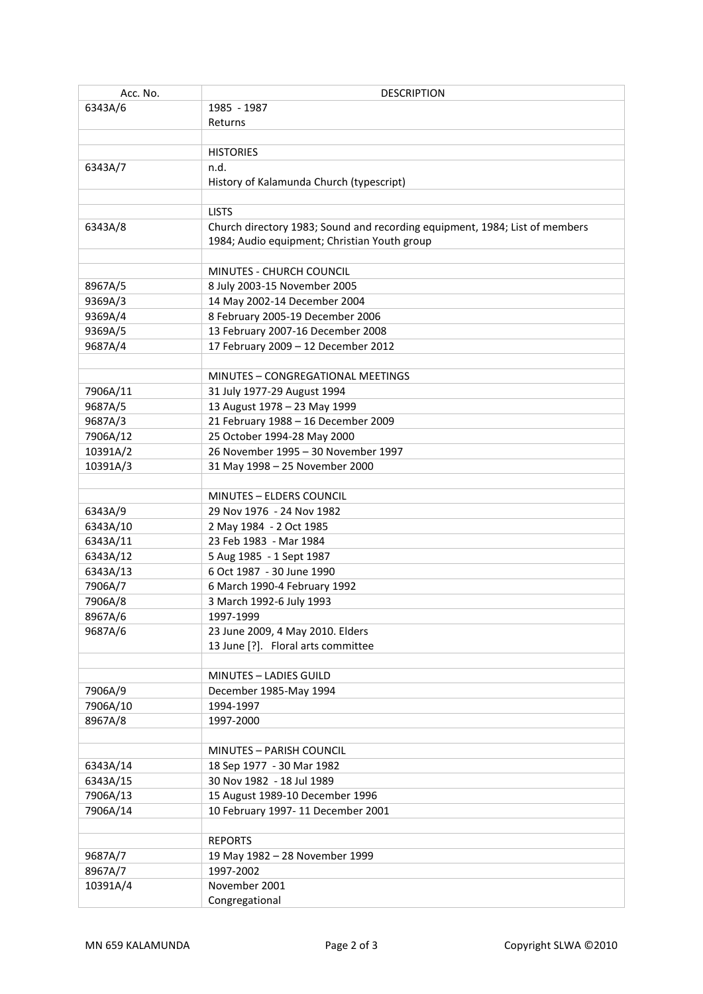| Acc. No. | <b>DESCRIPTION</b>                                                          |
|----------|-----------------------------------------------------------------------------|
| 6343A/6  | 1985 - 1987                                                                 |
|          | Returns                                                                     |
|          |                                                                             |
|          | <b>HISTORIES</b>                                                            |
| 6343A/7  | n.d.                                                                        |
|          | History of Kalamunda Church (typescript)                                    |
|          |                                                                             |
|          | <b>LISTS</b>                                                                |
| 6343A/8  | Church directory 1983; Sound and recording equipment, 1984; List of members |
|          | 1984; Audio equipment; Christian Youth group                                |
|          |                                                                             |
|          | MINUTES - CHURCH COUNCIL                                                    |
| 8967A/5  | 8 July 2003-15 November 2005                                                |
| 9369A/3  | 14 May 2002-14 December 2004                                                |
| 9369A/4  | 8 February 2005-19 December 2006                                            |
| 9369A/5  | 13 February 2007-16 December 2008                                           |
| 9687A/4  | 17 February 2009 - 12 December 2012                                         |
|          |                                                                             |
|          | MINUTES - CONGREGATIONAL MEETINGS                                           |
| 7906A/11 | 31 July 1977-29 August 1994                                                 |
| 9687A/5  | 13 August 1978 - 23 May 1999                                                |
| 9687A/3  | 21 February 1988 - 16 December 2009                                         |
| 7906A/12 | 25 October 1994-28 May 2000                                                 |
| 10391A/2 | 26 November 1995 - 30 November 1997                                         |
| 10391A/3 | 31 May 1998 - 25 November 2000                                              |
|          |                                                                             |
|          | MINUTES - ELDERS COUNCIL                                                    |
| 6343A/9  | 29 Nov 1976 - 24 Nov 1982                                                   |
| 6343A/10 | 2 May 1984 - 2 Oct 1985                                                     |
| 6343A/11 | 23 Feb 1983 - Mar 1984                                                      |
| 6343A/12 | 5 Aug 1985 - 1 Sept 1987                                                    |
| 6343A/13 | 6 Oct 1987 - 30 June 1990                                                   |
| 7906A/7  | 6 March 1990-4 February 1992                                                |
| 7906A/8  | 3 March 1992-6 July 1993                                                    |
| 8967A/6  | 1997-1999                                                                   |
| 9687A/6  | 23 June 2009, 4 May 2010. Elders                                            |
|          | 13 June [?]. Floral arts committee                                          |
|          |                                                                             |
|          | <b>MINUTES - LADIES GUILD</b>                                               |
| 7906A/9  | December 1985-May 1994                                                      |
| 7906A/10 | 1994-1997                                                                   |
| 8967A/8  | 1997-2000                                                                   |
|          |                                                                             |
|          | <b>MINUTES - PARISH COUNCIL</b>                                             |
| 6343A/14 | 18 Sep 1977 - 30 Mar 1982                                                   |
| 6343A/15 | 30 Nov 1982 - 18 Jul 1989                                                   |
| 7906A/13 | 15 August 1989-10 December 1996                                             |
| 7906A/14 | 10 February 1997-11 December 2001                                           |
|          |                                                                             |
|          | <b>REPORTS</b>                                                              |
| 9687A/7  | 19 May 1982 - 28 November 1999                                              |
| 8967A/7  | 1997-2002                                                                   |
| 10391A/4 | November 2001                                                               |
|          | Congregational                                                              |